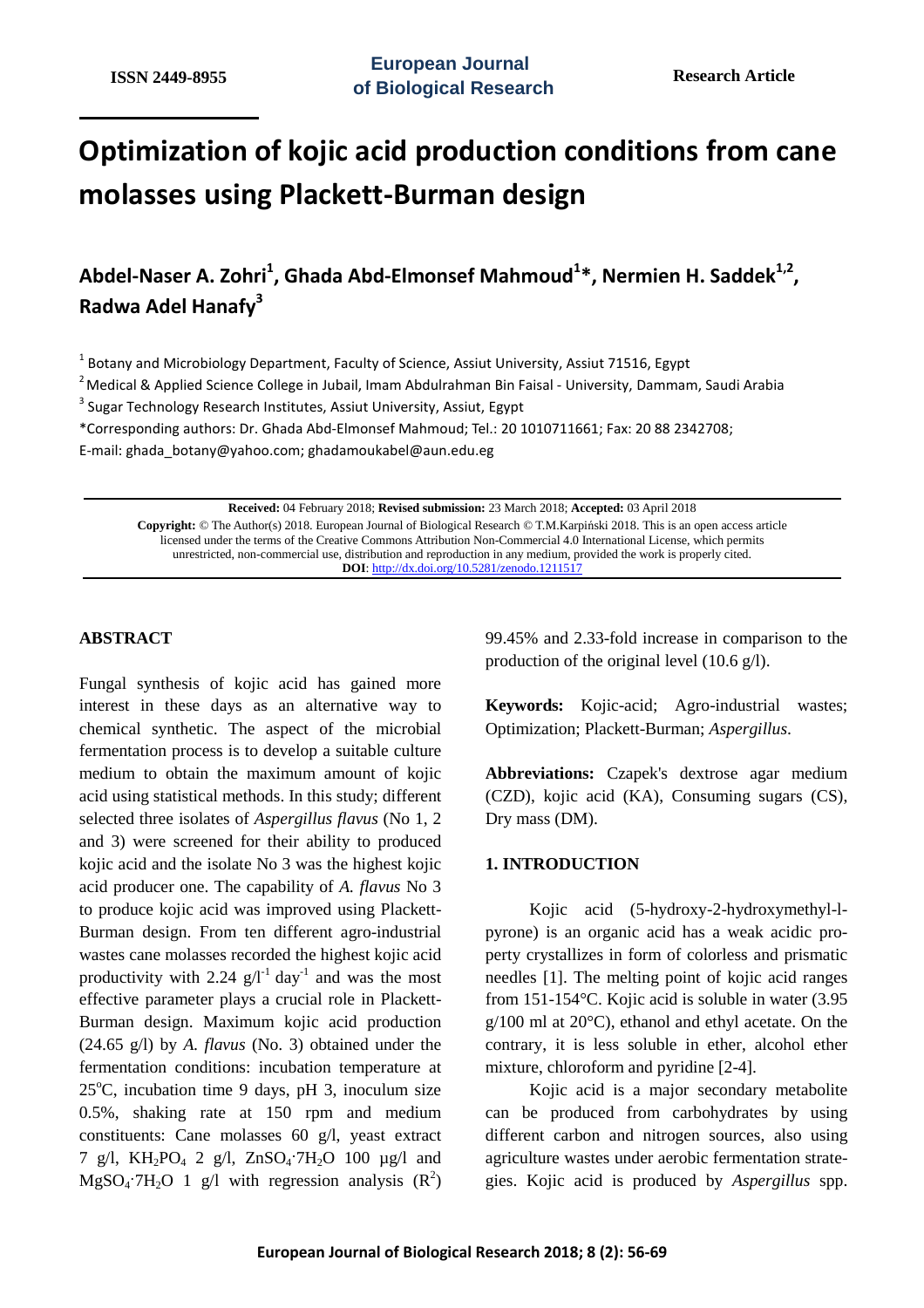# **Optimization of kojic acid production conditions from cane molasses using Plackett-Burman design**

**Abdel-Naser A. Zohri<sup>1</sup> , Ghada Abd-Elmonsef Mahmoud<sup>1</sup> \*, Nermien H. Saddek1,2 , Radwa Adel Hanafy<sup>3</sup>**

 $^1$  Botany and Microbiology Department, Faculty of Science, Assiut University, Assiut 71516, Egypt

 $2$ Medical & Applied Science College in Jubail, Imam Abdulrahman Bin Faisal - University, Dammam, Saudi Arabia

<sup>3</sup> Sugar Technology Research Institutes, Assiut University, Assiut, Egypt

\*Corresponding authors: Dr. Ghada Abd-Elmonsef Mahmoud; Tel.: 20 1010711661; Fax: 20 88 2342708;

E-mail: ghada\_botany@yahoo.com; ghadamoukabel@aun.edu.eg

**Received:** 04 February 2018; **Revised submission:** 23 March 2018; **Accepted:** 03 April 2018 **Copyright:** © The Author(s) 2018. European Journal of Biological Research © T.M.Karpiński 2018. This is an open access article licensed under the terms of the Creative Commons Attribution Non-Commercial 4.0 International License, which permits unrestricted, non-commercial use, distribution and reproduction in any medium, provided the work is properly cited. **DOI**: http://dx.doi.org/10.5281/zenodo.1211517

## **ABSTRACT**

Fungal synthesis of kojic acid has gained more interest in these days as an alternative way to chemical synthetic. The aspect of the microbial fermentation process is to develop a suitable culture medium to obtain the maximum amount of kojic acid using statistical methods. In this study; different selected three isolates of *Aspergillus flavus* (No 1, 2 and 3) were screened for their ability to produced kojic acid and the isolate No 3 was the highest kojic acid producer one. The capability of *A. flavus* No 3 to produce kojic acid was improved using Plackett-Burman design. From ten different agro-industrial wastes cane molasses recorded the highest kojic acid productivity with 2.24  $g/I^{-1}$  day<sup>-1</sup> and was the most effective parameter plays a crucial role in Plackett-Burman design. Maximum kojic acid production (24.65 g/l) by *A. flavus* (No. 3) obtained under the fermentation conditions: incubation temperature at  $25^{\circ}$ C, incubation time 9 days, pH 3, inoculum size 0.5%, shaking rate at 150 rpm and medium constituents: Cane molasses 60 g/l, yeast extract 7 g/l,  $KH_2PO_4$  2 g/l,  $ZnSO_4$ <sup>-7</sup> $H_2O$  100  $\mu$ g/l and  $MgSO_4$ <sup>-7</sup>H<sub>2</sub>O 1 g/l with regression analysis  $(R^2)$  99.45% and 2.33-fold increase in comparison to the production of the original level (10.6 g/l).

**Keywords:** Kojic-acid; Agro-industrial wastes; Optimization; Plackett-Burman; *Aspergillus*.

**Abbreviations:** Czapek's dextrose agar medium (CZD), kojic acid (KA), Consuming sugars (CS), Dry mass (DM).

## **1. INTRODUCTION**

Kojic acid (5-hydroxy-2-hydroxymethyl-lpyrone) is an organic acid has a weak acidic property crystallizes in form of colorless and prismatic needles [1]. The melting point of kojic acid ranges from 151-154°C. Kojic acid is soluble in water (3.95 g/100 ml at 20°C), ethanol and ethyl acetate. On the contrary, it is less soluble in ether, alcohol ether mixture, chloroform and pyridine [2-4].

Kojic acid is a major secondary metabolite can be produced from carbohydrates by using different carbon and nitrogen sources, also using agriculture wastes under aerobic fermentation strategies. Kojic acid is produced by *Aspergillus* spp.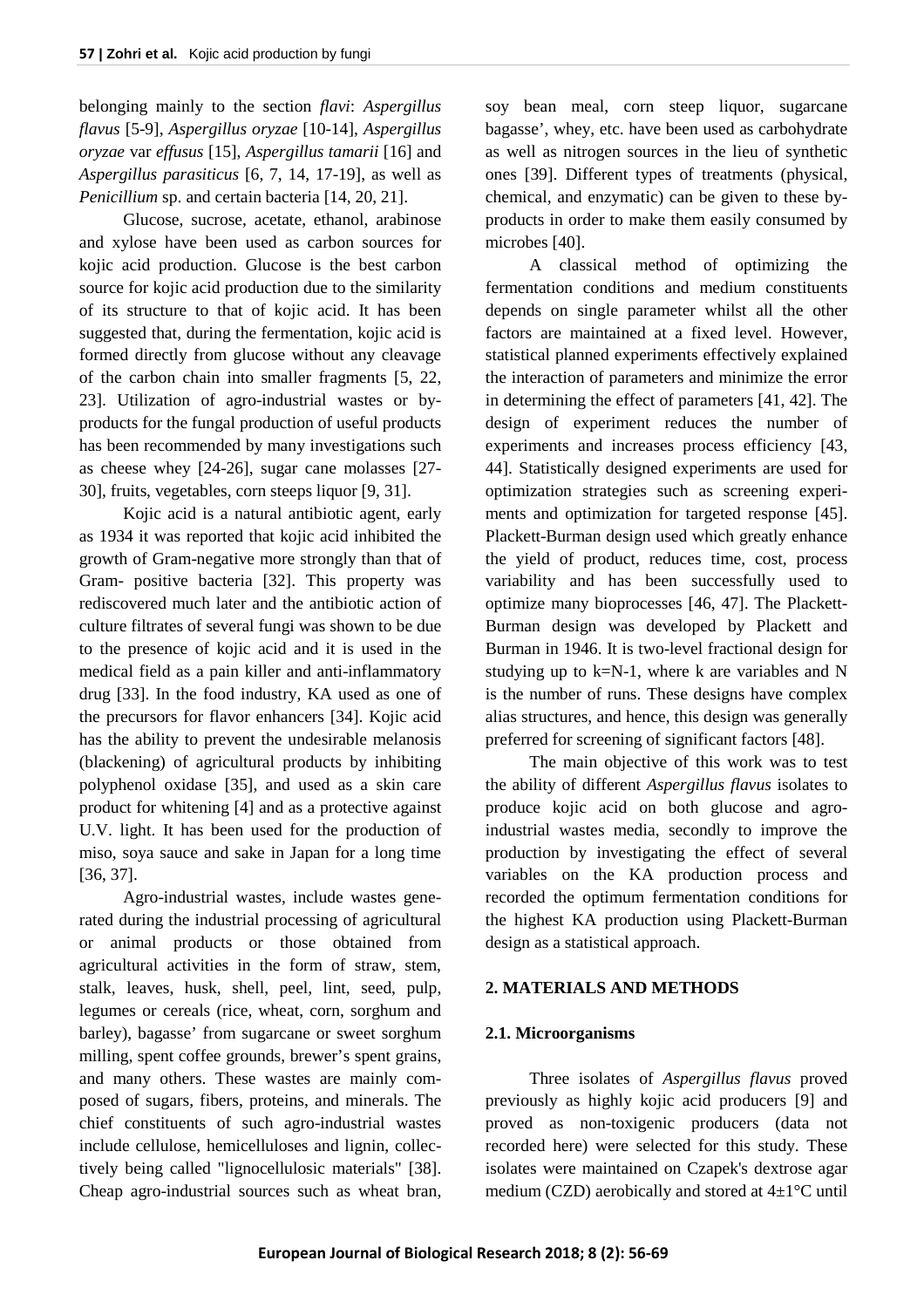belonging mainly to the section *flavi*: *Aspergillus flavus* [5-9], *Aspergillus oryzae* [10-14], *Aspergillus oryzae* var *effusus* [15], *Aspergillus tamarii* [16] and *Aspergillus parasiticus* [6, 7, 14, 17-19], as well as *Penicillium* sp. and certain bacteria [14, 20, 21].

Glucose, sucrose, acetate, ethanol, arabinose and xylose have been used as carbon sources for kojic acid production. Glucose is the best carbon source for kojic acid production due to the similarity of its structure to that of kojic acid. It has been suggested that, during the fermentation, kojic acid is formed directly from glucose without any cleavage of the carbon chain into smaller fragments [5, 22, 23]. Utilization of agro-industrial wastes or byproducts for the fungal production of useful products has been recommended by many investigations such as cheese whey [24-26], sugar cane molasses [27- 30], fruits, vegetables, corn steeps liquor [9, 31].

Kojic acid is a natural antibiotic agent, early as 1934 it was reported that kojic acid inhibited the growth of Gram-negative more strongly than that of Gram- positive bacteria [32]. This property was rediscovered much later and the antibiotic action of culture filtrates of several fungi was shown to be due to the presence of kojic acid and it is used in the medical field as a pain killer and anti-inflammatory drug [33]. In the food industry, KA used as one of the precursors for flavor enhancers [34]. Kojic acid has the ability to prevent the undesirable melanosis (blackening) of agricultural products by inhibiting polyphenol oxidase [35], and used as a skin care product for whitening [4] and as a protective against U.V. light. It has been used for the production of miso, soya sauce and sake in Japan for a long time [36, 37].

Agro-industrial wastes, include wastes generated during the industrial processing of agricultural or animal products or those obtained from agricultural activities in the form of straw, stem, stalk, leaves, husk, shell, peel, lint, seed, pulp, legumes or cereals (rice, wheat, corn, sorghum and barley), bagasse' from sugarcane or sweet sorghum milling, spent coffee grounds, brewer's spent grains, and many others. These wastes are mainly composed of sugars, fibers, proteins, and minerals. The chief constituents of such agro-industrial wastes include cellulose, hemicelluloses and lignin, collectively being called "lignocellulosic materials" [38]. Cheap agro-industrial sources such as wheat bran, soy bean meal, corn steep liquor, sugarcane bagasse', whey, etc. have been used as carbohydrate as well as nitrogen sources in the lieu of synthetic ones [39]. Different types of treatments (physical, chemical, and enzymatic) can be given to these byproducts in order to make them easily consumed by microbes [40].

A classical method of optimizing the fermentation conditions and medium constituents depends on single parameter whilst all the other factors are maintained at a fixed level. However, statistical planned experiments effectively explained the interaction of parameters and minimize the error in determining the effect of parameters [41, 42]. The design of experiment reduces the number of experiments and increases process efficiency [43, 44]. Statistically designed experiments are used for optimization strategies such as screening experiments and optimization for targeted response [45]. Plackett-Burman design used which greatly enhance the yield of product, reduces time, cost, process variability and has been successfully used to optimize many bioprocesses [46, 47]. The Plackett-Burman design was developed by Plackett and Burman in 1946. It is two-level fractional design for studying up to  $k=N-1$ , where k are variables and N is the number of runs. These designs have complex alias structures, and hence, this design was generally preferred for screening of significant factors [48].

The main objective of this work was to test the ability of different *Aspergillus flavus* isolates to produce kojic acid on both glucose and agroindustrial wastes media, secondly to improve the production by investigating the effect of several variables on the KA production process and recorded the optimum fermentation conditions for the highest KA production using Plackett-Burman design as a statistical approach.

# **2. MATERIALS AND METHODS**

# **2.1. Microorganisms**

Three isolates of *Aspergillus flavus* proved previously as highly kojic acid producers [9] and proved as non-toxigenic producers (data not recorded here) were selected for this study. These isolates were maintained on Czapek's dextrose agar medium (CZD) aerobically and stored at 4±1°C until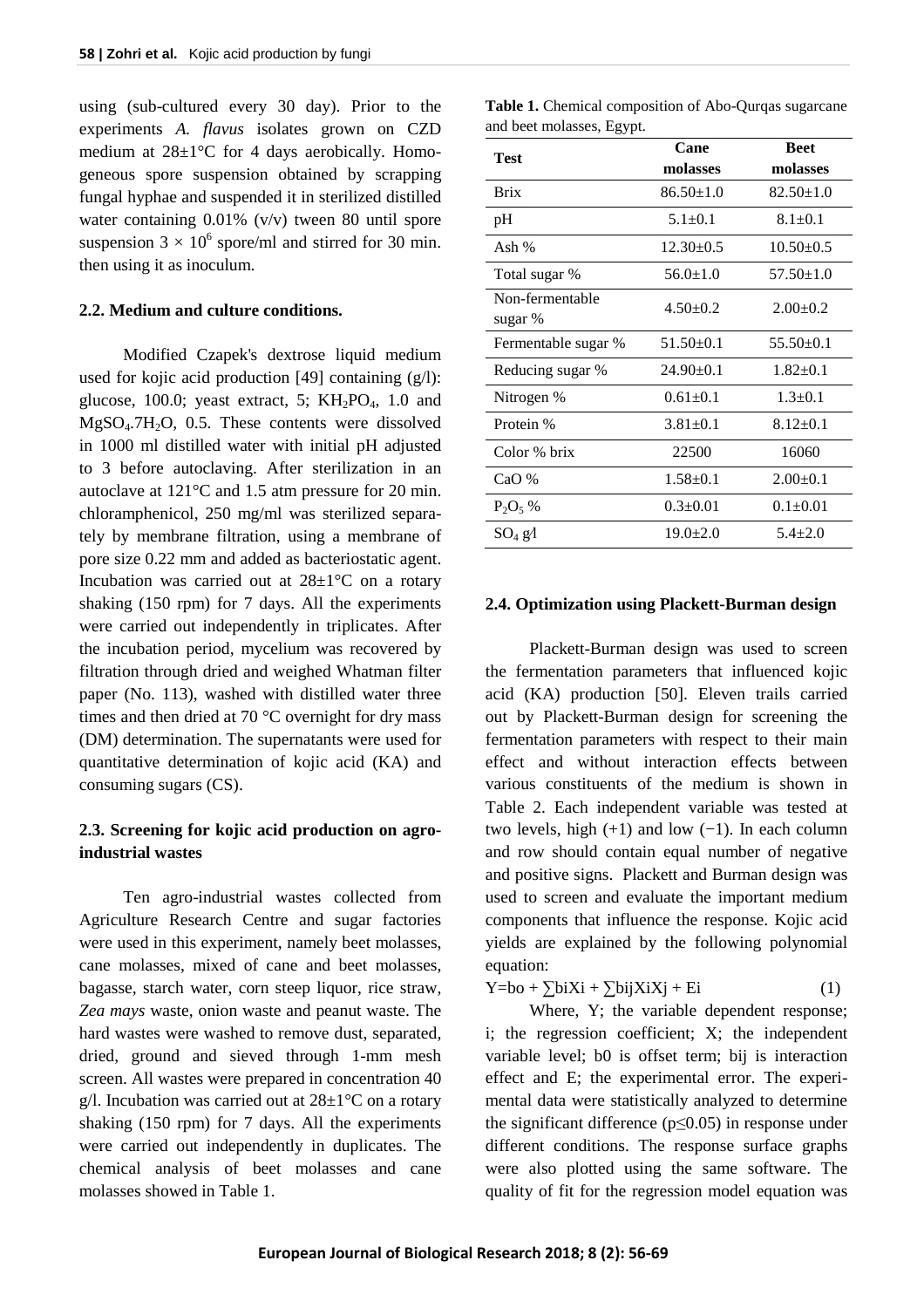using (sub-cultured every 30 day). Prior to the experiments *A. flavus* isolates grown on CZD medium at 28±1°C for 4 days aerobically. Homogeneous spore suspension obtained by scrapping fungal hyphae and suspended it in sterilized distilled water containing 0.01% (v/v) tween 80 until spore suspension  $3 \times 10^6$  spore/ml and stirred for 30 min. then using it as inoculum.

## **2.2. Medium and culture conditions.**

Modified Czapek's dextrose liquid medium used for kojic acid production [49] containing  $(g/l)$ : glucose, 100.0; yeast extract, 5;  $KH_2PO_4$ , 1.0 and MgSO4.7H2O, 0.5. These contents were dissolved in 1000 ml distilled water with initial pH adjusted to 3 before autoclaving. After sterilization in an autoclave at 121°C and 1.5 atm pressure for 20 min. chloramphenicol, 250 mg/ml was sterilized separately by membrane filtration, using a membrane of pore size 0.22 mm and added as bacteriostatic agent. Incubation was carried out at  $28\pm1\degree C$  on a rotary shaking (150 rpm) for 7 days. All the experiments were carried out independently in triplicates. After the incubation period, mycelium was recovered by filtration through dried and weighed Whatman filter paper (No. 113), washed with distilled water three times and then dried at 70 °C overnight for dry mass (DM) determination. The supernatants were used for quantitative determination of kojic acid (KA) and consuming sugars (CS).

# **2.3. Screening for kojic acid production on agroindustrial wastes**

Ten agro-industrial wastes collected from Agriculture Research Centre and sugar factories were used in this experiment, namely beet molasses, cane molasses, mixed of cane and beet molasses, bagasse, starch water, corn steep liquor, rice straw, *Zea mays* waste, onion waste and peanut waste. The hard wastes were washed to remove dust, separated, dried, ground and sieved through 1-mm mesh screen. All wastes were prepared in concentration 40 g/l. Incubation was carried out at  $28 \pm 1^{\circ}$ C on a rotary shaking (150 rpm) for 7 days. All the experiments were carried out independently in duplicates. The chemical analysis of beet molasses and cane molasses showed in Table 1.

**Table 1.** Chemical composition of Abo-Qurqas sugarcane and beet molasses, Egypt.

| Test                | Cane            | <b>Beet</b>     |  |  |
|---------------------|-----------------|-----------------|--|--|
|                     | molasses        | molasses        |  |  |
| <b>Brix</b>         | $86.50 \pm 1.0$ | $82.50 \pm 1.0$ |  |  |
| pH                  | $5.1 \pm 0.1$   | $8.1 \pm 0.1$   |  |  |
| Ash $%$             | $12.30+0.5$     | $10.50 \pm 0.5$ |  |  |
| Total sugar %       | $56.0 \pm 1.0$  | $57.50 \pm 1.0$ |  |  |
| Non-fermentable     | $4.50 \pm 0.2$  | $2.00+0.2$      |  |  |
| sugar %             |                 |                 |  |  |
| Fermentable sugar % | $51.50 \pm 0.1$ | $55.50 \pm 0.1$ |  |  |
| Reducing sugar %    | $24.90 \pm 0.1$ | $1.82+0.1$      |  |  |
| Nitrogen %          | $0.61 \pm 0.1$  | $1.3 \pm 0.1$   |  |  |
| Protein %           | $3.81 \pm 0.1$  | $8.12 \pm 0.1$  |  |  |
| Color % brix        | 22500           | 16060           |  |  |
| CaO%                | $1.58 \pm 0.1$  | $2.00+0.1$      |  |  |
| $P_2O_5$ %          | $0.3+0.01$      | $0.1 + 0.01$    |  |  |
| $SO_4$ $gA$         | $19.0 \pm 2.0$  | $5.4 + 2.0$     |  |  |

#### **2.4. Optimization using Plackett-Burman design**

Plackett-Burman design was used to screen the fermentation parameters that influenced kojic acid (KA) production [50]. Eleven trails carried out by Plackett-Burman design for screening the fermentation parameters with respect to their main effect and without interaction effects between various constituents of the medium is shown in Table 2. Each independent variable was tested at two levels, high  $(+1)$  and low  $(-1)$ . In each column and row should contain equal number of negative and positive signs. Plackett and Burman design was used to screen and evaluate the important medium components that influence the response. Kojic acid yields are explained by the following polynomial equation:

 $Y=bo + \sum b_iX_i + \sum b_iX_iX_j + E_i$  (1)

Where, Y; the variable dependent response; i; the regression coefficient; X; the independent variable level; b0 is offset term; bij is interaction effect and E; the experimental error. The experimental data were statistically analyzed to determine the significant difference ( $p \le 0.05$ ) in response under different conditions. The response surface graphs were also plotted using the same software. The quality of fit for the regression model equation was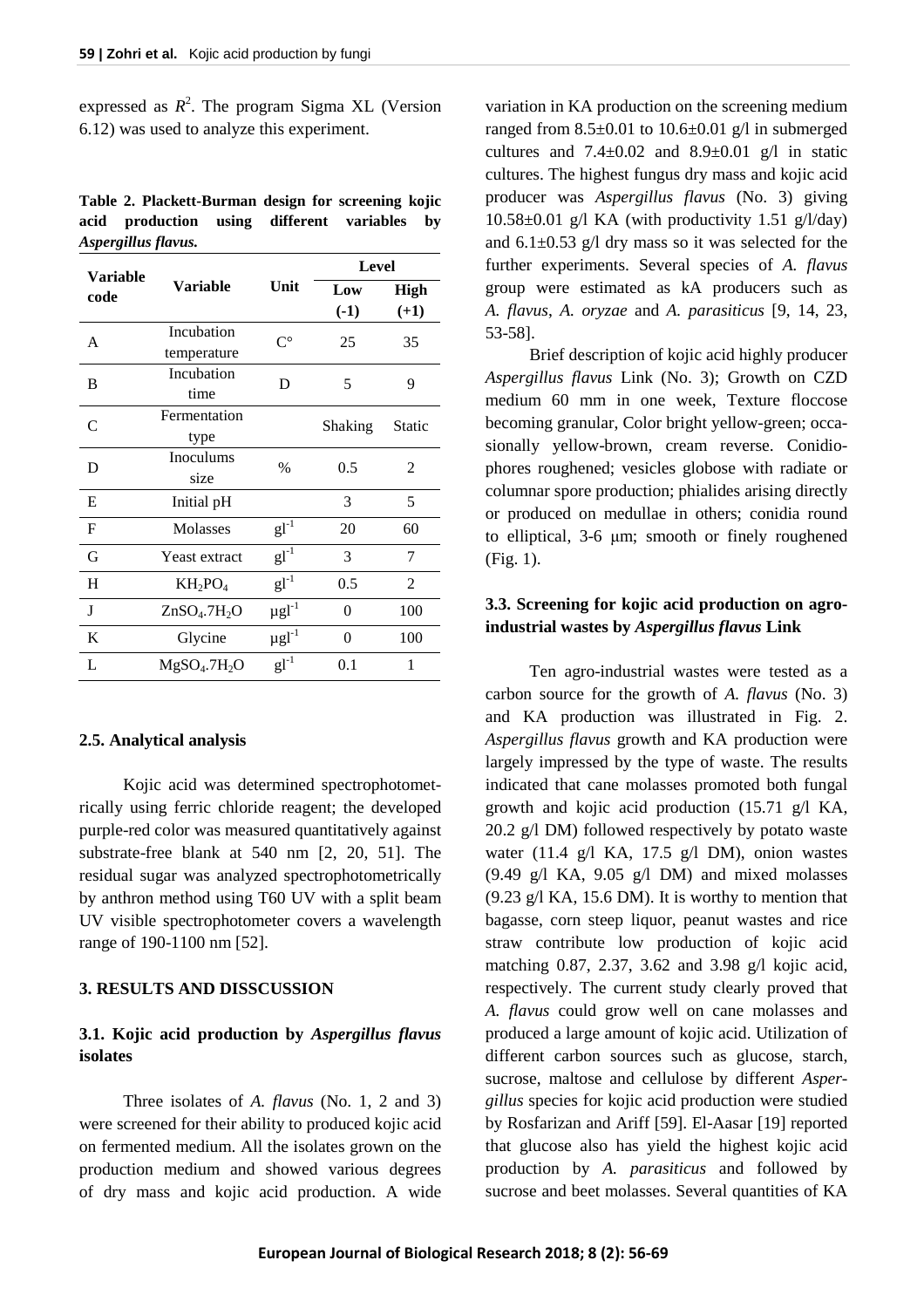expressed as  $R^2$ . The program Sigma XL (Version 6.12) was used to analyze this experiment.

| Table 2. Plackett-Burman design for screening kojic |  |  |  |
|-----------------------------------------------------|--|--|--|
| acid production using different variables by        |  |  |  |
| Aspergillus flavus.                                 |  |  |  |

| <b>Variable</b> |                                      |                        | <b>Level</b> |                |  |  |
|-----------------|--------------------------------------|------------------------|--------------|----------------|--|--|
| code            | <b>Variable</b>                      | Unit                   | Low          | High           |  |  |
|                 |                                      |                        | $(-1)$       | $(+1)$         |  |  |
| A               | Incubation                           | $C^{\circ}$            | 25           | 35             |  |  |
|                 | temperature                          |                        |              |                |  |  |
| B               | Incubation                           | D                      | 5            | 9              |  |  |
|                 | time                                 |                        |              |                |  |  |
| C               | Fermentation                         |                        | Shaking      | Static         |  |  |
|                 | type                                 |                        |              |                |  |  |
| D               | Inoculums                            | $\frac{0}{0}$          | 0.5          | 2              |  |  |
|                 | size                                 |                        |              |                |  |  |
| E               | Initial pH                           |                        | 3            | 5              |  |  |
| $\mathbf F$     | <b>Molasses</b>                      | $gl^{-1}$              | 20           | 60             |  |  |
| G               | <b>Yeast extract</b>                 | $gl^{-1}$              | 3            | 7              |  |  |
| H               | $KH_2PO_4$                           | $gl^{-1}$              | 0.5          | $\overline{2}$ |  |  |
| J               | ZnSO <sub>4</sub> .7H <sub>2</sub> O | $\mu$ gl <sup>-1</sup> | $\theta$     | 100            |  |  |
| K               | Glycine                              | $\mu\text{gl}^{-1}$    | $\theta$     | 100            |  |  |
| L               | MgSO <sub>4</sub> .7H <sub>2</sub> O | $gl^{-1}$              | 0.1          | 1              |  |  |

## **2.5. Analytical analysis**

Kojic acid was determined spectrophotometrically using ferric chloride reagent; the developed purple-red color was measured quantitatively against substrate-free blank at 540 nm [2, 20, 51]. The residual sugar was analyzed spectrophotometrically by anthron method using T60 UV with a split beam UV visible spectrophotometer covers a wavelength range of 190-1100 nm [52].

#### **3. RESULTS AND DISSCUSSION**

# **3.1. Kojic acid production by** *Aspergillus flavus* **isolates**

Three isolates of *A. flavus* (No. 1, 2 and 3) were screened for their ability to produced kojic acid on fermented medium. All the isolates grown on the production medium and showed various degrees of dry mass and kojic acid production. A wide

variation in KA production on the screening medium ranged from  $8.5\pm0.01$  to  $10.6\pm0.01$  g/l in submerged cultures and  $7.4 \pm 0.02$  and  $8.9 \pm 0.01$  g/l in static cultures. The highest fungus dry mass and kojic acid producer was *Aspergillus flavus* (No. 3) giving  $10.58\pm0.01$  g/l KA (with productivity 1.51 g/l/day) and  $6.1 \pm 0.53$  g/l dry mass so it was selected for the further experiments. Several species of *A. flavus* group were estimated as kA producers such as *A. flavus*, *A. oryzae* and *A. parasiticus* [9, 14, 23, 53-58].

Brief description of kojic acid highly producer *Aspergillus flavus* Link (No. 3); Growth on CZD medium 60 mm in one week, Texture floccose becoming granular, Color bright yellow-green; occasionally yellow-brown, cream reverse. Conidiophores roughened; vesicles globose with radiate or columnar spore production; phialides arising directly or produced on medullae in others; conidia round to elliptical, 3-6 μm; smooth or finely roughened (Fig. 1).

# **3.3. Screening for kojic acid production on agroindustrial wastes by** *Aspergillus flavus* **Link**

Ten agro-industrial wastes were tested as a carbon source for the growth of *A. flavus* (No. 3) and KA production was illustrated in Fig. 2. *Aspergillus flavus* growth and KA production were largely impressed by the type of waste. The results indicated that cane molasses promoted both fungal growth and kojic acid production (15.71 g/l KA, 20.2 g/l DM) followed respectively by potato waste water (11.4 g/l KA, 17.5 g/l DM), onion wastes  $(9.49 \text{ g/l KA}, 9.05 \text{ g/l DM})$  and mixed molasses  $(9.23 \text{ g/l KA}, 15.6 \text{ DM})$ . It is worthy to mention that bagasse, corn steep liquor, peanut wastes and rice straw contribute low production of kojic acid matching 0.87, 2.37, 3.62 and 3.98 g/l kojic acid, respectively. The current study clearly proved that *A. flavus* could grow well on cane molasses and produced a large amount of kojic acid. Utilization of different carbon sources such as glucose, starch, sucrose, maltose and cellulose by different *Aspergillus* species for kojic acid production were studied by Rosfarizan and Ariff [59]. El-Aasar [19] reported that glucose also has yield the highest kojic acid production by *A. parasiticus* and followed by sucrose and beet molasses. Several quantities of KA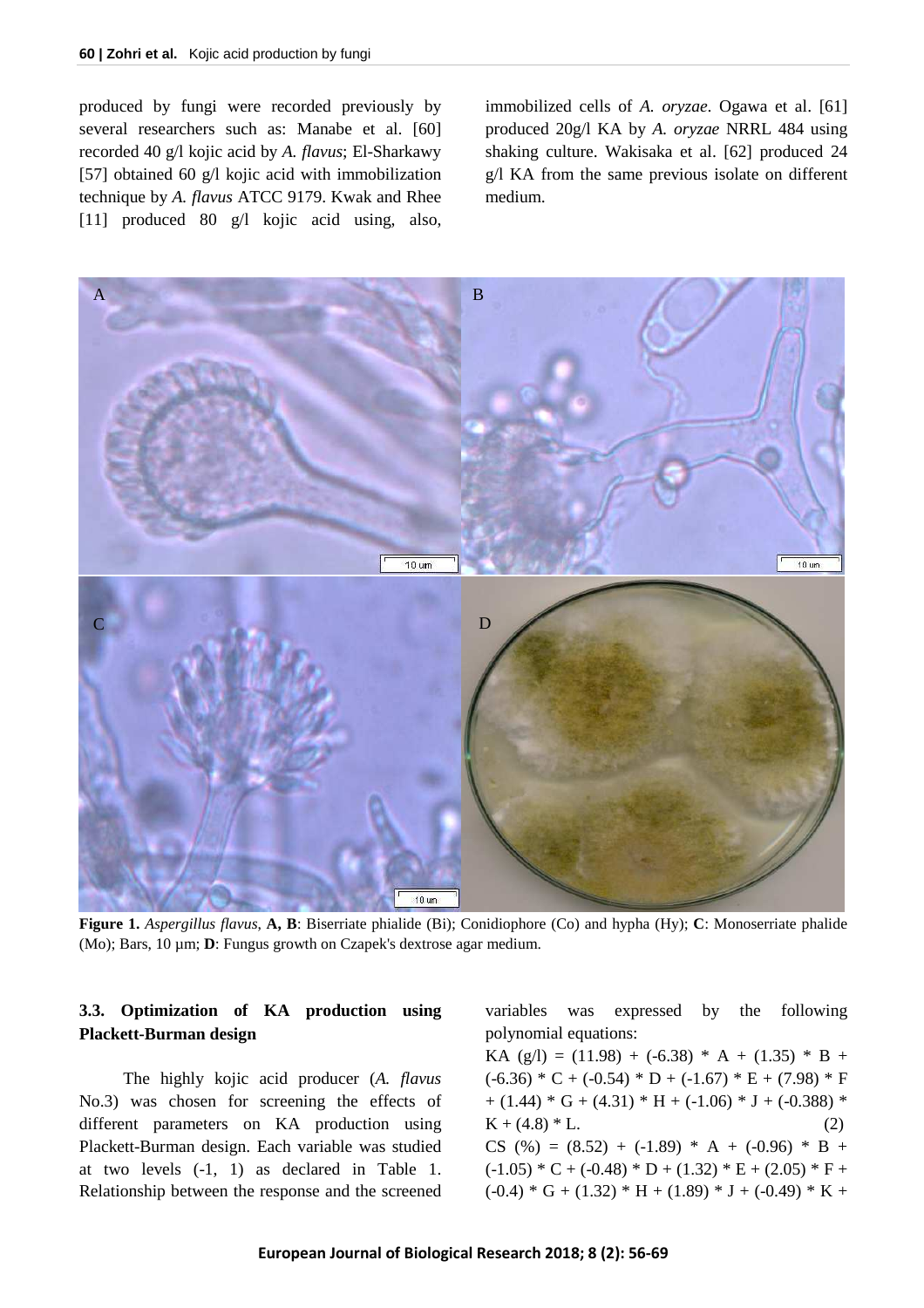produced by fungi were recorded previously by several researchers such as: Manabe et al. [60] recorded 40 g/l kojic acid by *A. flavus*; El-Sharkawy [57] obtained 60 g/l kojic acid with immobilization technique by *A. flavus* ATCC 9179. Kwak and Rhee [11] produced 80 g/l kojic acid using, also, immobilized cells of *A. oryzae*. Ogawa et al. [61] produced 20g/l KA by *A. oryzae* NRRL 484 using shaking culture. Wakisaka et al. [62] produced 24 g/l KA from the same previous isolate on different medium.



**Figure 1.** *Aspergillus flavus*, **A, B**: Biserriate phialide (Bi); Conidiophore (Co) and hypha (Hy); **C**: Monoserriate phalide (Mo); Bars, 10 µm; **D**: Fungus growth on Czapek's dextrose agar medium.

# **3.3. Optimization of KA production using Plackett-Burman design**

The highly kojic acid producer (*A. flavus*  No.3) was chosen for screening the effects of different parameters on KA production using Plackett-Burman design. Each variable was studied at two levels (-1, 1) as declared in Table 1. Relationship between the response and the screened variables was expressed by the following polynomial equations:

KA  $(g/l) = (11.98) + (-6.38) * A + (1.35) * B +$  $(-6.36) * C + (-0.54) * D + (-1.67) * E + (7.98) * F$  $+ (1.44) * G + (4.31) * H + (-1.06) * J + (-0.388) *$  $K + (4.8) * L.$  (2) CS (%) =  $(8.52) + (-1.89) * A + (-0.96) * B +$  $(-1.05) * C + (-0.48) * D + (1.32) * E + (2.05) * F +$  $(-0.4) * G + (1.32) * H + (1.89) * J + (-0.49) * K +$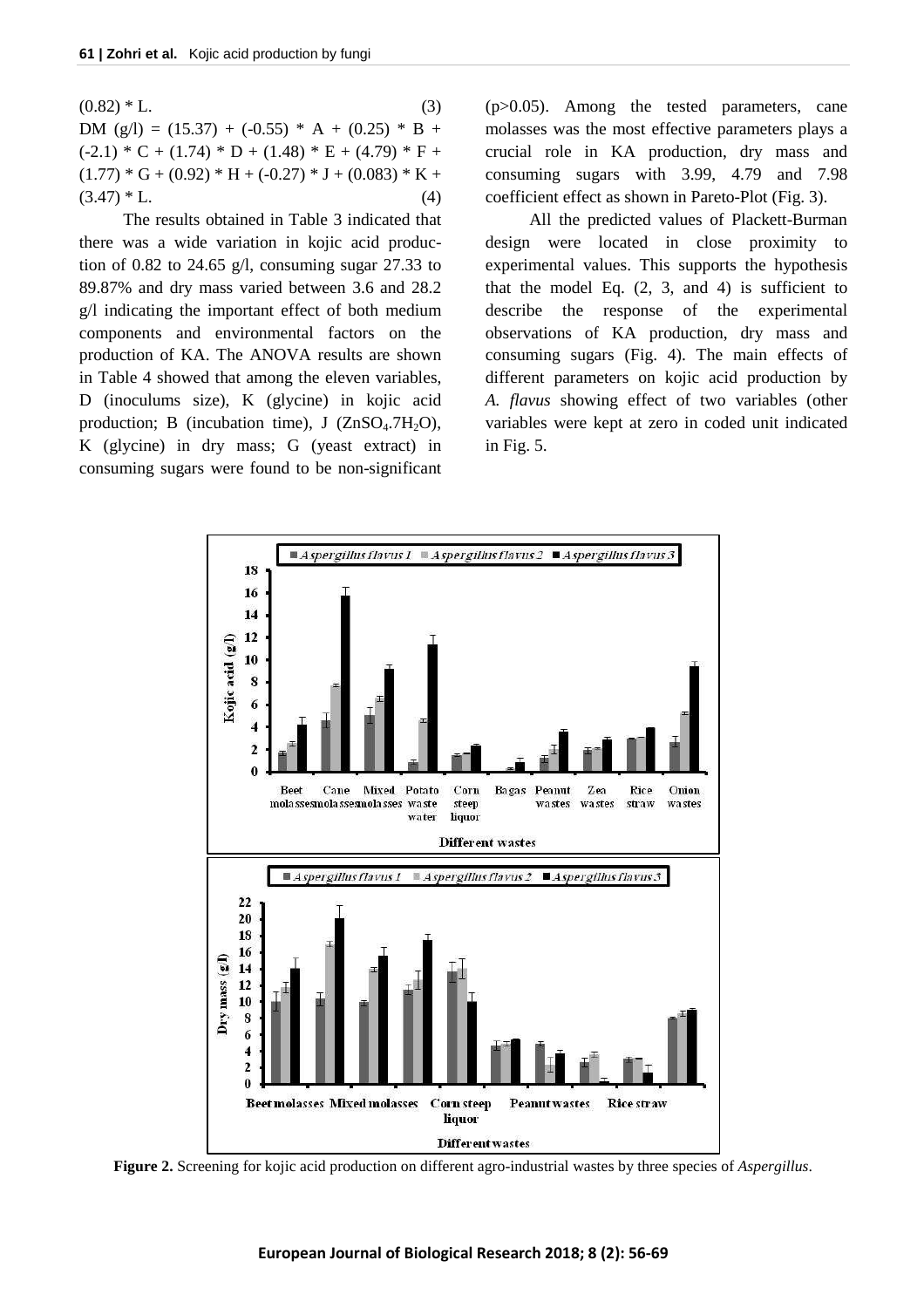$(0.82) * L.$  (3) DM  $(g/l) = (15.37) + (-0.55) * A + (0.25) * B +$  $(-2.1) * C + (1.74) * D + (1.48) * E + (4.79) * F +$  $(1.77) * G + (0.92) * H + (-0.27) * J + (0.083) * K +$  $(3.47) * L.$  (4)

The results obtained in Table 3 indicated that there was a wide variation in kojic acid production of 0.82 to 24.65 g/l, consuming sugar 27.33 to 89.87% and dry mass varied between 3.6 and 28.2 g/l indicating the important effect of both medium components and environmental factors on the production of KA. The ANOVA results are shown in Table 4 showed that among the eleven variables, D (inoculums size), K (glycine) in kojic acid production; B (incubation time), J  $(ZnSO<sub>4</sub>.7H<sub>2</sub>O)$ , K (glycine) in dry mass; G (yeast extract) in consuming sugars were found to be non-significant

(p>0.05). Among the tested parameters, cane molasses was the most effective parameters plays a crucial role in KA production, dry mass and consuming sugars with 3.99, 4.79 and 7.98 coefficient effect as shown in Pareto-Plot (Fig. 3).

All the predicted values of Plackett-Burman design were located in close proximity to experimental values. This supports the hypothesis that the model Eq.  $(2, 3, and 4)$  is sufficient to describe the response of the experimental observations of KA production, dry mass and consuming sugars (Fig. 4). The main effects of different parameters on kojic acid production by *A. flavus* showing effect of two variables (other variables were kept at zero in coded unit indicated in Fig. 5.



**Figure 2.** Screening for kojic acid production on different agro-industrial wastes by three species of *Aspergillus*.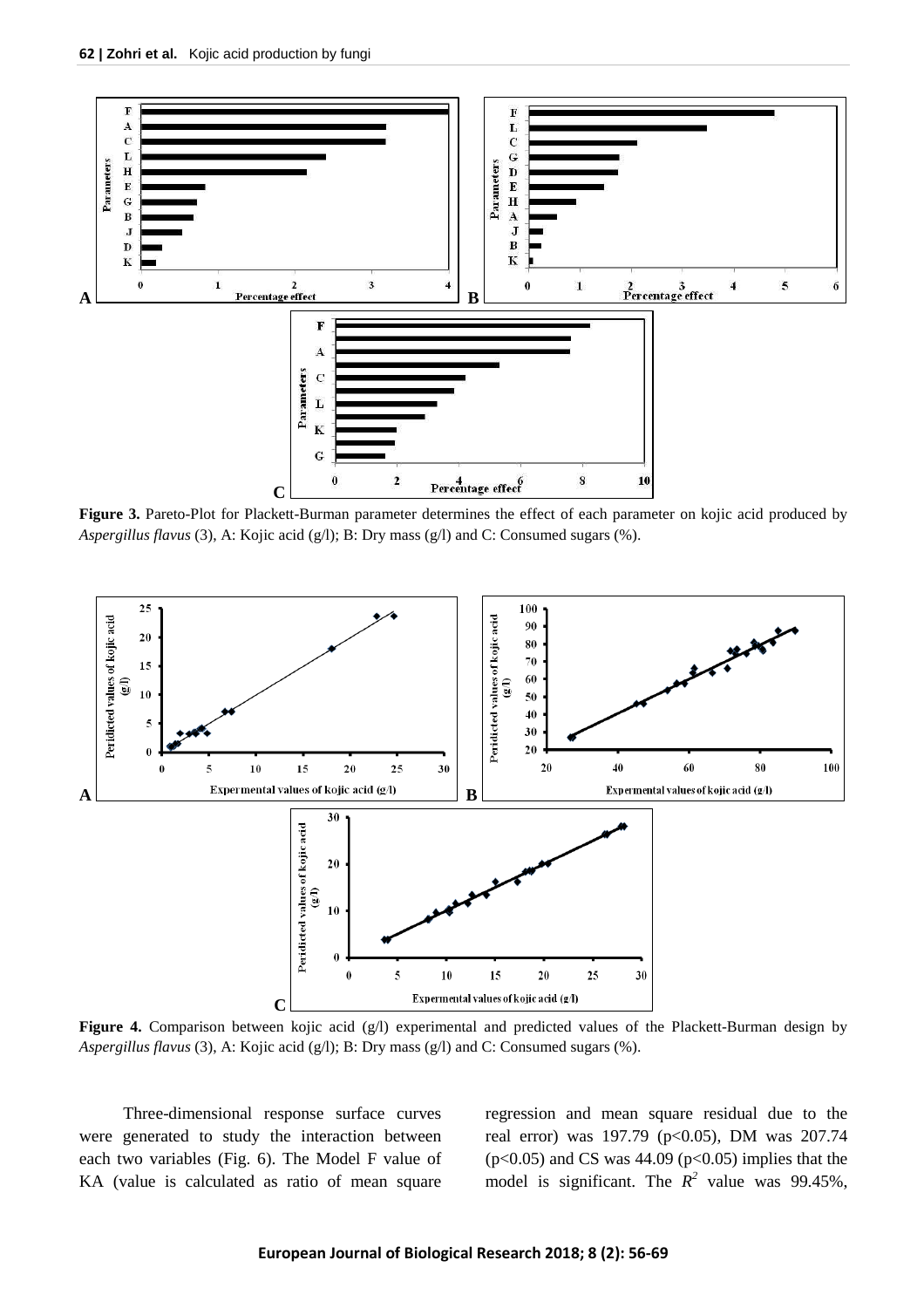

**Figure 3.** Pareto-Plot for Plackett-Burman parameter determines the effect of each parameter on kojic acid produced by *Aspergillus flavus* (3), A: Kojic acid (g/l); B: Dry mass (g/l) and C: Consumed sugars (%).



Figure 4. Comparison between kojic acid (g/l) experimental and predicted values of the Plackett-Burman design by *Aspergillus flavus* (3), A: Kojic acid (g/l); B: Dry mass (g/l) and C: Consumed sugars (%).

Three-dimensional response surface curves were generated to study the interaction between each two variables (Fig. 6). The Model F value of KA (value is calculated as ratio of mean square regression and mean square residual due to the real error) was 197.79 (p<0.05), DM was 207.74  $(p<0.05)$  and CS was 44.09  $(p<0.05)$  implies that the model is significant. The  $R^2$  value was 99.45%,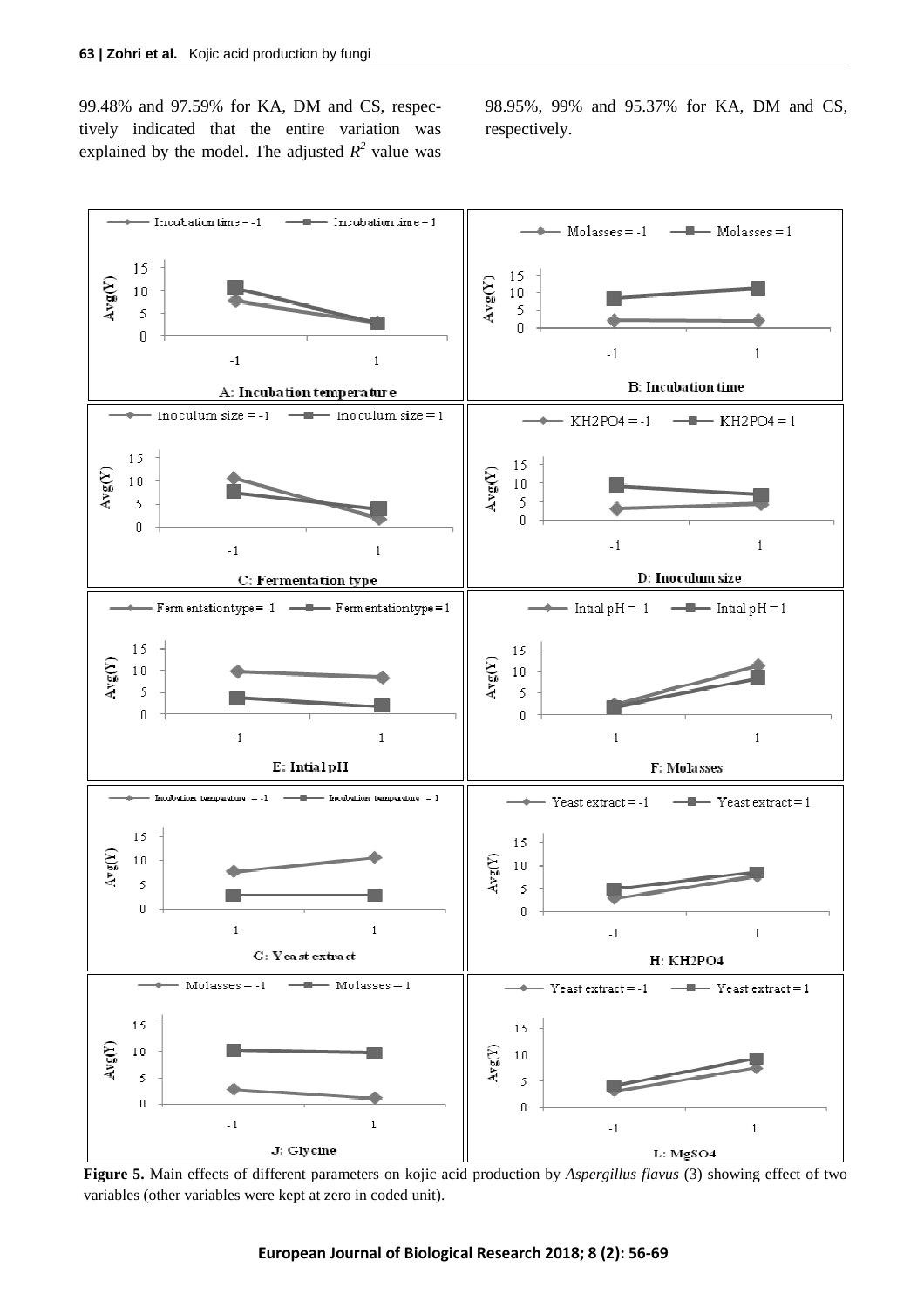99.48% and 97.59% for KA, DM and CS, respectively indicated that the entire variation was explained by the model. The adjusted  $R^2$  value was 98.95%, 99% and 95.37% for KA, DM and CS, respectively.



**Figure 5.** Main effects of different parameters on kojic acid production by *Aspergillus flavus* (3) showing effect of two variables (other variables were kept at zero in coded unit).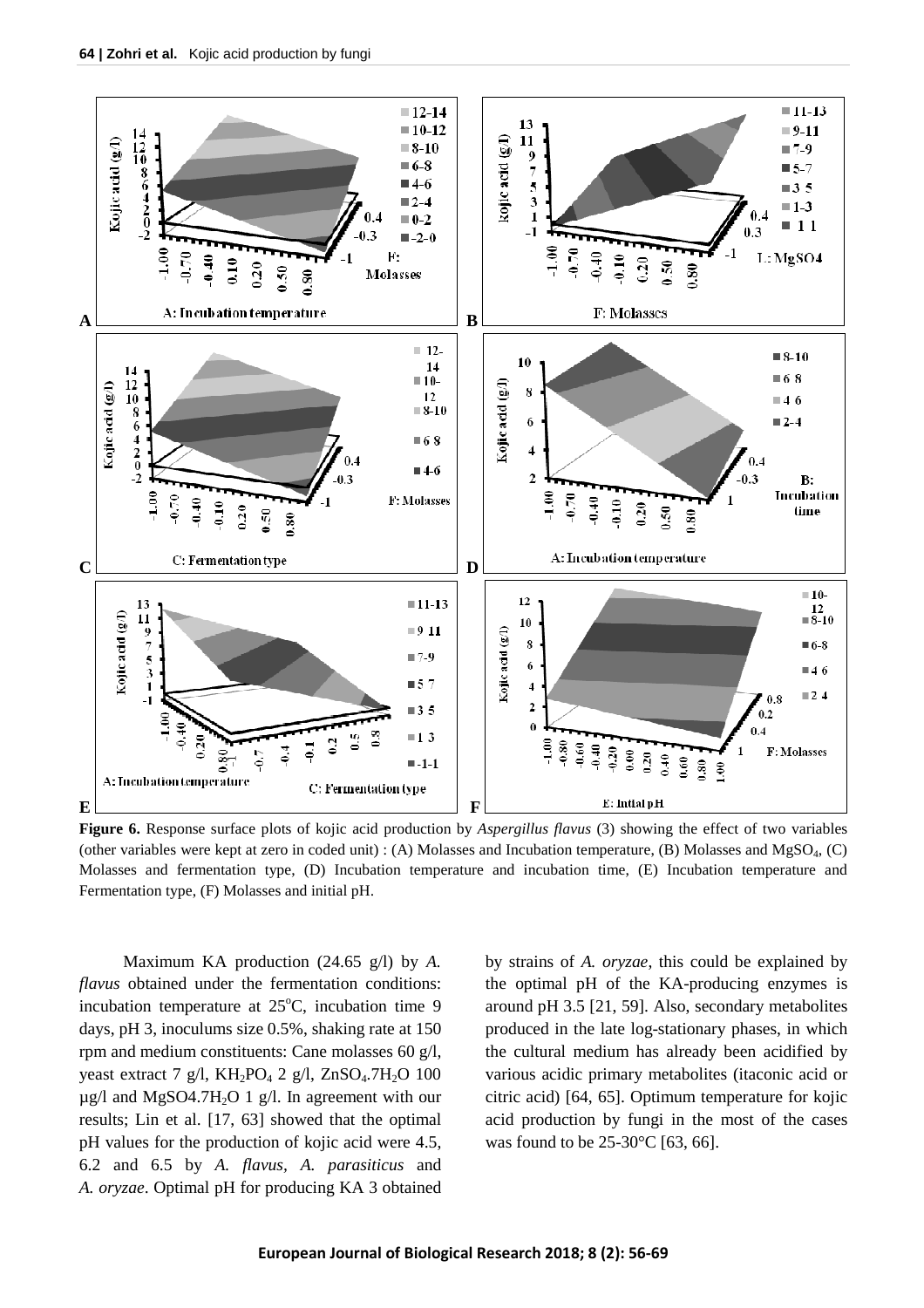

**Figure 6.** Response surface plots of kojic acid production by *Aspergillus flavus* (3) showing the effect of two variables (other variables were kept at zero in coded unit) : (A) Molasses and Incubation temperature, (B) Molasses and MgSO<sub>4</sub>, (C) Molasses and fermentation type, (D) Incubation temperature and incubation time, (E) Incubation temperature and Fermentation type, (F) Molasses and initial pH.

Maximum KA production (24.65 g/l) by *A. flavus* obtained under the fermentation conditions: incubation temperature at  $25^{\circ}$ C, incubation time 9 days, pH 3, inoculums size 0.5%, shaking rate at 150 rpm and medium constituents: Cane molasses 60 g/l, yeast extract 7 g/l,  $KH_2PO_4$  2 g/l,  $ZnSO_4$ .7H<sub>2</sub>O 100  $\mu$ g/l and MgSO4.7H<sub>2</sub>O 1 g/l. In agreement with our results; Lin et al. [17, 63] showed that the optimal pH values for the production of kojic acid were 4.5, 6.2 and 6.5 by *A. flavus, A. parasiticus* and *A. oryzae*. Optimal pH for producing KA 3 obtained by strains of *A. oryzae*, this could be explained by the optimal pH of the KA-producing enzymes is around pH 3.5 [21, 59]. Also, secondary metabolites produced in the late log-stationary phases, in which the cultural medium has already been acidified by various acidic primary metabolites (itaconic acid or citric acid) [64, 65]. Optimum temperature for kojic acid production by fungi in the most of the cases was found to be 25-30°C [63, 66].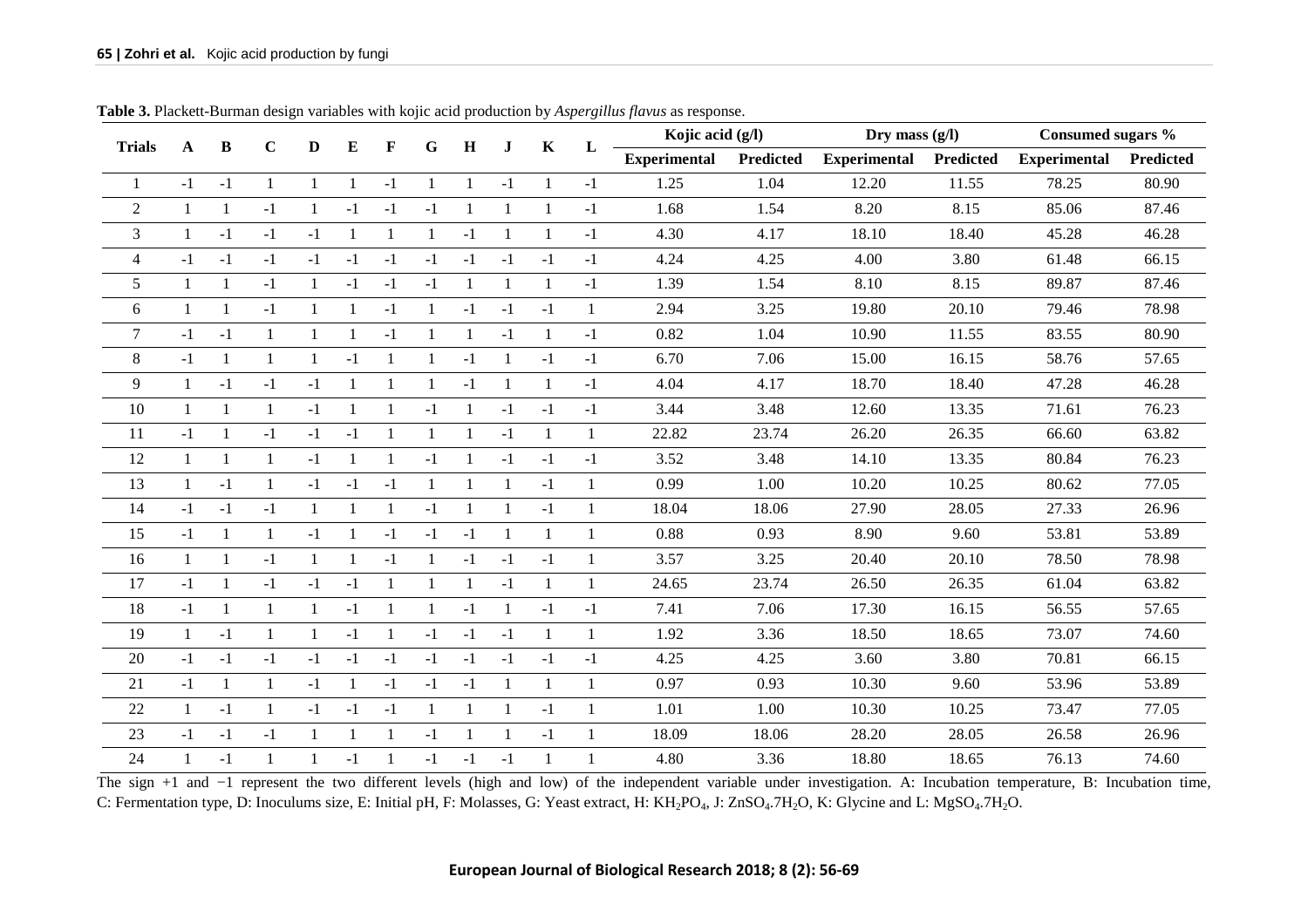| <b>Trials</b>  |              | B              | $\mathbf C$  | D            | E            | F              | G            | $\bf H$      | J.           | K            |              | Kojic acid (g/l)<br>L |                  | Dry mass $(g/l)$    |           | Consumed sugars %   |           |
|----------------|--------------|----------------|--------------|--------------|--------------|----------------|--------------|--------------|--------------|--------------|--------------|-----------------------|------------------|---------------------|-----------|---------------------|-----------|
|                | A            |                |              |              |              |                |              |              |              |              |              | <b>Experimental</b>   | <b>Predicted</b> | <b>Experimental</b> | Predicted | <b>Experimental</b> | Predicted |
|                | $-1$         | $-1$           | $\mathbf{1}$ | $\mathbf{1}$ | 1            | $-1$           | 1            | $\mathbf{1}$ | $-1$         | $\mathbf{1}$ | $-1$         | 1.25                  | 1.04             | 12.20               | 11.55     | 78.25               | 80.90     |
| $\mathfrak{2}$ | $\mathbf{1}$ | $\mathbf{1}$   | $-1$         | $\mathbf{1}$ | $-1$         | $-1$           | $-1$         | $\mathbf{1}$ | $\mathbf{1}$ | 1            | $-1$         | 1.68                  | 1.54             | 8.20                | 8.15      | 85.06               | 87.46     |
| $\mathfrak{Z}$ | $\mathbf{1}$ | $-1$           | $-1$         | $-1$         | $\mathbf{1}$ | $\overline{1}$ | 1            | $-1$         |              | 1            | $-1$         | 4.30                  | 4.17             | 18.10               | 18.40     | 45.28               | 46.28     |
| $\overline{4}$ | $-1$         | $-1$           | $-1$         | $-1$         | $-1$         | $-1$           | $-1$         | $-1$         | $-1$         | $-1$         | $-1$         | 4.24                  | 4.25             | 4.00                | 3.80      | 61.48               | 66.15     |
| 5              | $\mathbf{1}$ | $\mathbf{1}$   | $-1$         | 1            | $-1$         | $-1$           | $-1$         | $\mathbf{1}$ | $\mathbf{1}$ | $\mathbf{1}$ | $-1$         | 1.39                  | 1.54             | 8.10                | 8.15      | 89.87               | 87.46     |
| 6              | $\mathbf{1}$ | $\mathbf{1}$   | $-1$         | 1            | $\mathbf{1}$ | $-1$           | 1            | $-1$         | $-1$         | $-1$         | 1            | 2.94                  | 3.25             | 19.80               | 20.10     | 79.46               | 78.98     |
| $\overline{7}$ | $-1$         | $-1$           | $\mathbf{1}$ | 1            | 1            | $-1$           | $\mathbf{1}$ | 1            | $-1$         | 1            | $-1$         | 0.82                  | 1.04             | 10.90               | 11.55     | 83.55               | 80.90     |
| $\,8\,$        | $-1$         | 1              | -1           | $\mathbf{1}$ | $-1$         | $\mathbf{1}$   | 1            | $-1$         |              | $-1$         | $-1$         | 6.70                  | 7.06             | 15.00               | 16.15     | 58.76               | 57.65     |
| 9              | $\mathbf{1}$ | $-1$           | $-1$         | $-1$         | 1            | $\mathbf{1}$   | $\mathbf{1}$ | $-1$         |              | 1            | $-1$         | 4.04                  | 4.17             | 18.70               | 18.40     | 47.28               | 46.28     |
| 10             | $\mathbf{1}$ | $\mathbf{1}$   | $\mathbf{1}$ | $-1$         | -1           | $\mathbf{1}$   | $-1$         | 1            | $-1$         | $-1$         | $-1$         | 3.44                  | 3.48             | 12.60               | 13.35     | 71.61               | 76.23     |
| 11             | $-1$         | $\mathbf{1}$   | $-1$         | $-1$         | $-1$         | $\overline{1}$ | -1           |              | $-1$         | 1            | 1            | 22.82                 | 23.74            | 26.20               | 26.35     | 66.60               | 63.82     |
| 12             | $\mathbf{1}$ | $\overline{1}$ | $\mathbf{1}$ | $-1$         | 1            | $\overline{1}$ | $-1$         | 1            | $-1$         | $-1$         | $-1$         | 3.52                  | 3.48             | 14.10               | 13.35     | 80.84               | 76.23     |
| 13             | $\mathbf{1}$ | $-1$           | $\mathbf{1}$ | $-1$         | $-1$         | $-1$           | $\mathbf{1}$ |              |              | $-1$         | 1            | 0.99                  | 1.00             | 10.20               | 10.25     | 80.62               | 77.05     |
| 14             | $-1$         | $-1$           | $-1$         | $\mathbf{1}$ | 1            | $\mathbf{1}$   | $-1$         | $\mathbf{1}$ | $\mathbf{1}$ | $-1$         | $\mathbf{1}$ | 18.04                 | 18.06            | 27.90               | 28.05     | 27.33               | 26.96     |
| 15             | $-1$         | $\mathbf{1}$   | $\mathbf{1}$ | $-1$         | $\mathbf{1}$ | $-1$           | $-1$         | $-1$         | $\mathbf{1}$ | $\mathbf{1}$ | $\mathbf{1}$ | 0.88                  | 0.93             | 8.90                | 9.60      | 53.81               | 53.89     |
| 16             | $\mathbf{1}$ | 1              | $-1$         | 1            | $\mathbf{1}$ | $-1$           | $\mathbf{1}$ | $-1$         | $-1$         | $-1$         | $\mathbf{1}$ | 3.57                  | 3.25             | 20.40               | 20.10     | 78.50               | 78.98     |
| 17             | $-1$         | 1              | $-1$         | $-1$         | $-1$         | $\mathbf{1}$   | $\mathbf{1}$ | 1            | $-1$         | 1            | -1           | 24.65                 | 23.74            | 26.50               | 26.35     | 61.04               | 63.82     |
| 18             | $-1$         | $\mathbf{1}$   | $\mathbf{1}$ | $\mathbf{1}$ | $-1$         | $\mathbf{1}$   | 1            | $-1$         | $\mathbf{1}$ | $-1$         | $-1$         | 7.41                  | 7.06             | 17.30               | 16.15     | 56.55               | 57.65     |
| 19             | $\mathbf{1}$ | $-1$           | $\mathbf{1}$ | $\mathbf{1}$ | $-1$         | $\mathbf{1}$   | $-1$         | $-1$         | $-1$         | $\mathbf{1}$ | 1            | 1.92                  | 3.36             | 18.50               | 18.65     | 73.07               | 74.60     |
| 20             | $-1$         | $-1$           | $-1$         | $-1$         | $-1$         | $-1$           | $-1$         | $-1$         | $-1$         | $-1$         | $-1$         | 4.25                  | 4.25             | 3.60                | 3.80      | 70.81               | 66.15     |
| 21             | $-1$         | $\mathbf{1}$   | 1            | $-1$         | 1            | $-1$           | $-1$         | $-1$         |              | 1            | $\mathbf{1}$ | 0.97                  | 0.93             | 10.30               | 9.60      | 53.96               | 53.89     |
| 22             | $\mathbf{1}$ | $-1$           | $\mathbf{1}$ | $-1$         | $-1$         | $-1$           | $\mathbf{1}$ |              |              | $-1$         | $\mathbf{1}$ | 1.01                  | 1.00             | 10.30               | 10.25     | 73.47               | 77.05     |
| 23             | $-1$         | $-1$           | $-1$         | 1            | $\mathbf{1}$ | $\overline{1}$ | $-1$         | $\mathbf{1}$ | -1           | $-1$         | 1            | 18.09                 | 18.06            | 28.20               | 28.05     | 26.58               | 26.96     |
| 24             | $\mathbf{1}$ | $-1$           | $\mathbf{1}$ | 1            | $-1$         | $\overline{1}$ | $-1$         | $-1$         | $-1$         |              |              | 4.80                  | 3.36             | 18.80               | 18.65     | 76.13               | 74.60     |

**Table 3.** Plackett-Burman design variables with kojic acid production by *Aspergillus flavus* as response.

The sign +1 and -1 represent the two different levels (high and low) of the independent variable under investigation. A: Incubation temperature, B: Incubation time, C: Fermentation type, D: Inoculums size, E: Initial pH, F: Molasses, G: Yeast extract, H: KH<sub>2</sub>PO<sub>4</sub>, J: ZnSO<sub>4</sub>.7H<sub>2</sub>O, K: Glycine and L: MgSO<sub>4</sub>.7H<sub>2</sub>O.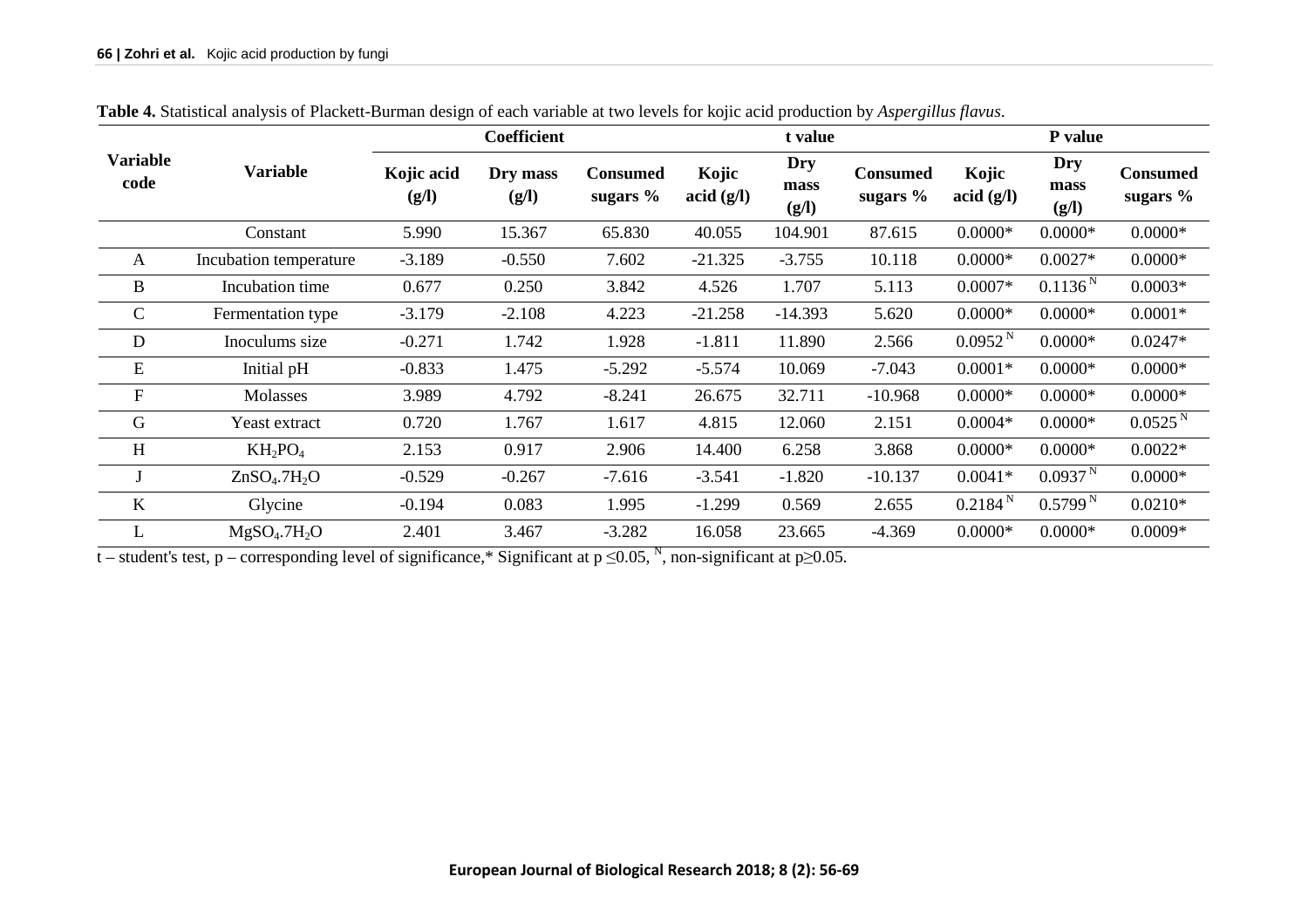|                         |                                      |                     | Coefficient       |                                |                                            | t value              |                               |                     | <b>P</b> value       |                               |
|-------------------------|--------------------------------------|---------------------|-------------------|--------------------------------|--------------------------------------------|----------------------|-------------------------------|---------------------|----------------------|-------------------------------|
| <b>Variable</b><br>code | <b>Variable</b>                      | Kojic acid<br>(g/l) | Dry mass<br>(g/l) | <b>Consumed</b><br>sugars $\%$ | Kojic<br>$\arctan\left(\frac{g}{l}\right)$ | Dry<br>mass<br>(g/l) | <b>Consumed</b><br>sugars $%$ | Kojic<br>acid (g/l) | Dry<br>mass<br>(g/l) | <b>Consumed</b><br>sugars $%$ |
|                         | Constant                             | 5.990               | 15.367            | 65.830                         | 40.055                                     | 104.901              | 87.615                        | $0.0000*$           | $0.0000*$            | $0.0000*$                     |
| A                       | Incubation temperature               | $-3.189$            | $-0.550$          | 7.602                          | $-21.325$                                  | $-3.755$             | 10.118                        | $0.0000*$           | $0.0027*$            | $0.0000*$                     |
| B                       | Incubation time                      | 0.677               | 0.250             | 3.842                          | 4.526                                      | 1.707                | 5.113                         | $0.0007*$           | 0.1136 <sup>N</sup>  | $0.0003*$                     |
| $\mathcal{C}$           | Fermentation type                    | $-3.179$            | $-2.108$          | 4.223                          | $-21.258$                                  | $-14.393$            | 5.620                         | $0.0000*$           | $0.0000*$            | $0.0001*$                     |
| $\mathbf D$             | Inoculums size                       | $-0.271$            | 1.742             | 1.928                          | $-1.811$                                   | 11.890               | 2.566                         | 0.0952 <sup>N</sup> | $0.0000*$            | $0.0247*$                     |
| ${\bf E}$               | Initial pH                           | $-0.833$            | 1.475             | $-5.292$                       | $-5.574$                                   | 10.069               | $-7.043$                      | $0.0001*$           | $0.0000*$            | $0.0000*$                     |
| $\mathbf F$             | Molasses                             | 3.989               | 4.792             | $-8.241$                       | 26.675                                     | 32.711               | $-10.968$                     | $0.0000*$           | $0.0000*$            | $0.0000*$                     |
| G                       | Yeast extract                        | 0.720               | 1.767             | 1.617                          | 4.815                                      | 12.060               | 2.151                         | $0.0004*$           | $0.0000*$            | 0.0525 <sup>N</sup>           |
| H                       | $KH_2PO_4$                           | 2.153               | 0.917             | 2.906                          | 14.400                                     | 6.258                | 3.868                         | $0.0000*$           | $0.0000*$            | $0.0022*$                     |
|                         | ZnSO <sub>4</sub> .7H <sub>2</sub> O | $-0.529$            | $-0.267$          | $-7.616$                       | $-3.541$                                   | $-1.820$             | $-10.137$                     | $0.0041*$           | 0.0937 <sup>N</sup>  | $0.0000*$                     |
| $\bf K$                 | Glycine                              | $-0.194$            | 0.083             | 1.995                          | $-1.299$                                   | 0.569                | 2.655                         | 0.2184 <sup>N</sup> | 0.5799 <sup>N</sup>  | $0.0210*$                     |
| L                       | MgSO <sub>4</sub> .7H <sub>2</sub> O | 2.401               | 3.467             | $-3.282$                       | 16.058                                     | 23.665               | $-4.369$                      | $0.0000*$           | $0.0000*$            | $0.0009*$                     |

**Table 4.** Statistical analysis of Plackett-Burman design of each variable at two levels for kojic acid production by *Aspergillus flavus*.

t – student's test, p – corresponding level of significance,\* Significant at p ≤0.05, <sup>N</sup>, non-significant at p≥0.05.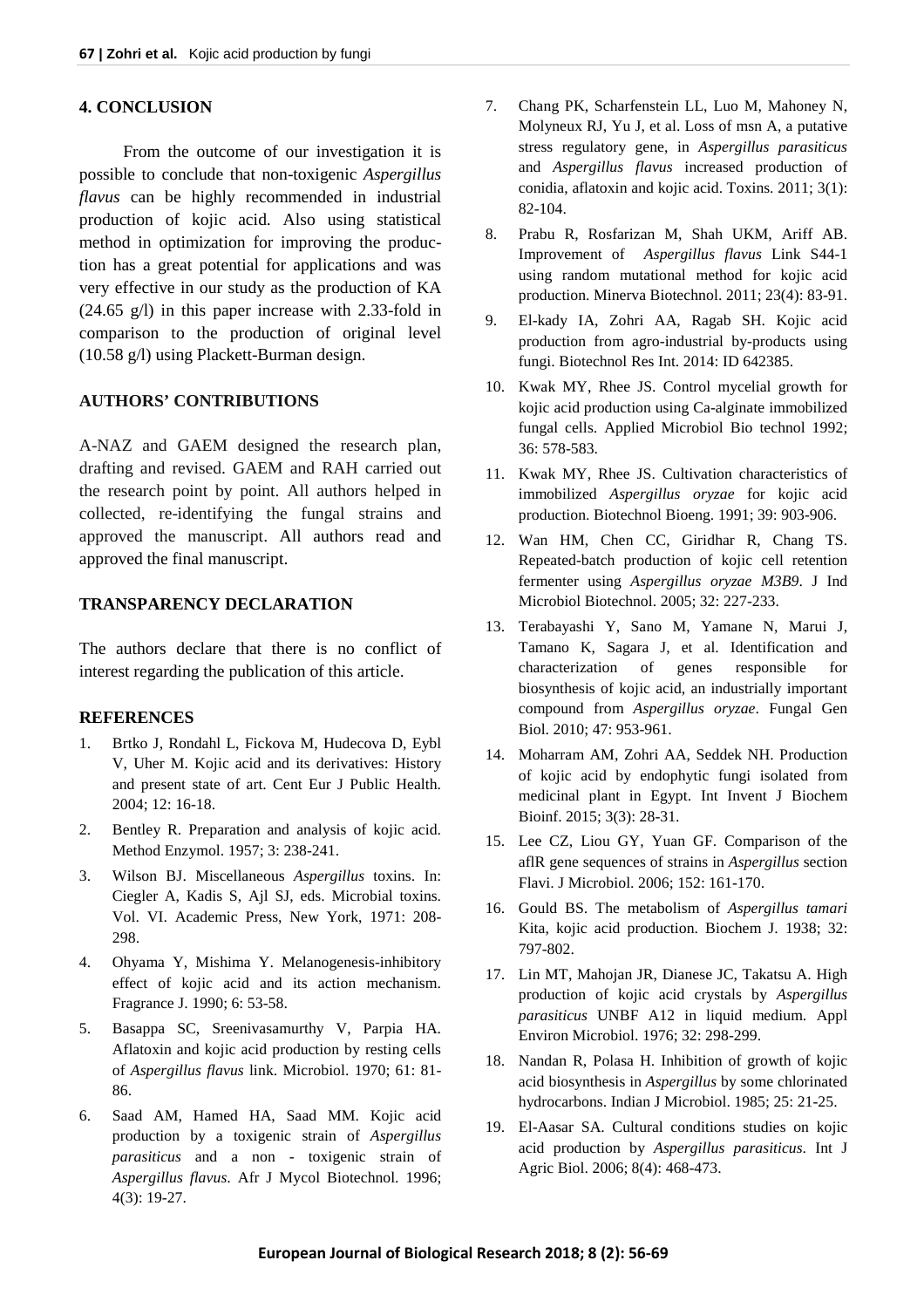## **4. CONCLUSION**

From the outcome of our investigation it is possible to conclude that non-toxigenic *Aspergillus flavus* can be highly recommended in industrial production of kojic acid. Also using statistical method in optimization for improving the production has a great potential for applications and was very effective in our study as the production of KA (24.65 g/l) in this paper increase with 2.33-fold in comparison to the production of original level (10.58 g/l) using Plackett-Burman design.

# **AUTHORS' CONTRIBUTIONS**

A-NAZ and GAEM designed the research plan, drafting and revised. GAEM and RAH carried out the research point by point. All authors helped in collected, re-identifying the fungal strains and approved the manuscript. All authors read and approved the final manuscript.

# **TRANSPARENCY DECLARATION**

The authors declare that there is no conflict of interest regarding the publication of this article.

## **REFERENCES**

- 1. Brtko J, Rondahl L, Fickova M, Hudecova D, Eybl V, Uher M. Kojic acid and its derivatives: History and present state of art. Cent Eur J Public Health. 2004; 12: 16-18.
- 2. Bentley R. Preparation and analysis of kojic acid. Method Enzymol. 1957; 3: 238-241.
- 3. Wilson BJ. Miscellaneous *Aspergillus* toxins. In: Ciegler A, Kadis S, Ajl SJ, eds. Microbial toxins. Vol. VI. Academic Press, New York, 1971: 208- 298.
- 4. Ohyama Y, Mishima Y. Melanogenesis-inhibitory effect of kojic acid and its action mechanism. Fragrance J. 1990; 6: 53-58.
- 5. Basappa SC, Sreenivasamurthy V, Parpia HA. Aflatoxin and kojic acid production by resting cells of *Aspergillus flavus* link. Microbiol. 1970; 61: 81- 86.
- 6. Saad AM, Hamed HA, Saad MM. Kojic acid production by a toxigenic strain of *Aspergillus parasiticus* and a non - toxigenic strain of *Aspergillus flavus*. Afr J Mycol Biotechnol. 1996; 4(3): 19-27.
- 7. Chang PK, Scharfenstein LL, Luo M, Mahoney N, Molyneux RJ, Yu J, et al. Loss of msn A, a putative stress regulatory gene, in *Aspergillus parasiticus* and *Aspergillus flavus* increased production of conidia, aflatoxin and kojic acid. Toxins. 2011; 3(1): 82-104.
- 8. Prabu R, Rosfarizan M, Shah UKM, Ariff AB. Improvement of *Aspergillus flavus* Link S44-1 using random mutational method for kojic acid production. Minerva Biotechnol. 2011; 23(4): 83-91.
- 9. El-kady IA, Zohri AA, Ragab SH. Kojic acid production from agro-industrial by-products using fungi. Biotechnol Res Int. 2014: ID 642385.
- 10. Kwak MY, Rhee JS. Control mycelial growth for kojic acid production using Ca-alginate immobilized fungal cells. Applied Microbiol Bio technol 1992; 36: 578-583.
- 11. Kwak MY, Rhee JS. Cultivation characteristics of immobilized *Aspergillus oryzae* for kojic acid production. Biotechnol Bioeng. 1991; 39: 903-906.
- 12. Wan HM, Chen CC, Giridhar R, Chang TS. Repeated-batch production of kojic cell retention fermenter using *Aspergillus oryzae M3B9*. J Ind Microbiol Biotechnol. 2005; 32: 227-233.
- 13. Terabayashi Y, Sano M, Yamane N, Marui J, Tamano K, Sagara J, et al. Identification and characterization of genes responsible for biosynthesis of kojic acid, an industrially important compound from *Aspergillus oryzae*. Fungal Gen Biol. 2010; 47: 953-961.
- 14. Moharram AM, Zohri AA, Seddek NH. Production of kojic acid by endophytic fungi isolated from medicinal plant in Egypt. Int Invent J Biochem Bioinf. 2015; 3(3): 28-31.
- 15. Lee CZ, Liou GY, Yuan GF. Comparison of the aflR gene sequences of strains in *Aspergillus* section Flavi. J Microbiol. 2006; 152: 161-170.
- 16. Gould BS. The metabolism of *Aspergillus tamari* Kita, kojic acid production. Biochem J. 1938; 32: 797-802.
- 17. Lin MT, Mahojan JR, Dianese JC, Takatsu A. High production of kojic acid crystals by *Aspergillus parasiticus* UNBF A12 in liquid medium. Appl Environ Microbiol. 1976; 32: 298-299.
- 18. Nandan R, Polasa H. Inhibition of growth of kojic acid biosynthesis in *Aspergillus* by some chlorinated hydrocarbons. Indian J Microbiol. 1985; 25: 21-25.
- 19. El-Aasar SA. Cultural conditions studies on kojic acid production by *Aspergillus parasiticus*. Int J Agric Biol. 2006; 8(4): 468-473.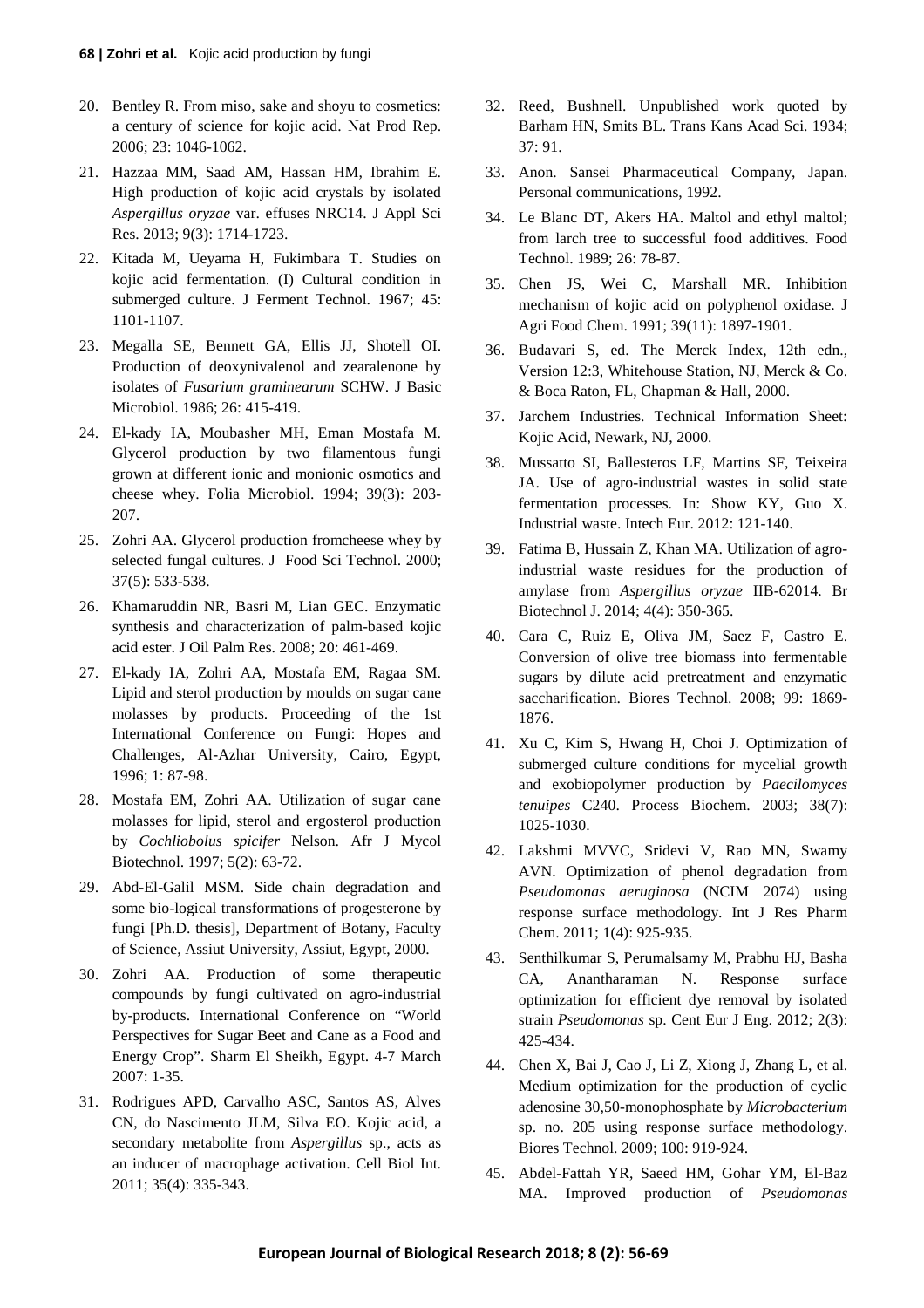- 20. Bentley R. From miso, sake and shoyu to cosmetics: a century of science for kojic acid. Nat Prod Rep. 2006; 23: 1046-1062.
- 21. Hazzaa MM, Saad AM, Hassan HM, Ibrahim E. High production of kojic acid crystals by isolated *Aspergillus oryzae* var. effuses NRC14. J Appl Sci Res. 2013; 9(3): 1714-1723.
- 22. Kitada M, Ueyama H, Fukimbara T. Studies on kojic acid fermentation. (I) Cultural condition in submerged culture. J Ferment Technol. 1967; 45: 1101-1107.
- 23. Megalla SE, Bennett GA, Ellis JJ, Shotell OI. Production of deoxynivalenol and zearalenone by isolates of *Fusarium graminearum* SCHW. J Basic Microbiol. 1986; 26: 415-419.
- 24. El-kady IA, Moubasher MH, Eman Mostafa M. Glycerol production by two filamentous fungi grown at different ionic and monionic osmotics and cheese whey. Folia Microbiol. 1994; 39(3): 203- 207.
- 25. Zohri AA. Glycerol production fromcheese whey by selected fungal cultures. J Food Sci Technol. 2000; 37(5): 533-538.
- 26. Khamaruddin NR, Basri M, Lian GEC. Enzymatic synthesis and characterization of palm-based kojic acid ester. J Oil Palm Res. 2008; 20: 461-469.
- 27. El-kady IA, Zohri AA, Mostafa EM, Ragaa SM. Lipid and sterol production by moulds on sugar cane molasses by products. Proceeding of the 1st International Conference on Fungi: Hopes and Challenges, Al-Azhar University, Cairo, Egypt, 1996; 1: 87-98.
- 28. Mostafa EM, Zohri AA. Utilization of sugar cane molasses for lipid, sterol and ergosterol production by *Cochliobolus spicifer* Nelson. Afr J Mycol Biotechnol. 1997; 5(2): 63-72.
- 29. Abd-El-Galil MSM. Side chain degradation and some bio-logical transformations of progesterone by fungi [Ph.D. thesis], Department of Botany, Faculty of Science, Assiut University, Assiut, Egypt, 2000.
- 30. Zohri AA. Production of some therapeutic compounds by fungi cultivated on agro-industrial by-products. International Conference on "World Perspectives for Sugar Beet and Cane as a Food and Energy Crop". Sharm El Sheikh, Egypt. 4-7 March 2007: 1-35.
- 31. Rodrigues APD, Carvalho ASC, Santos AS, Alves CN, do Nascimento JLM, Silva EO. Kojic acid, a secondary metabolite from *Aspergillus* sp., acts as an inducer of macrophage activation. Cell Biol Int. 2011; 35(4): 335-343.
- 32. Reed, Bushnell. Unpublished work quoted by Barham HN, Smits BL. Trans Kans Acad Sci. 1934; 37: 91.
- 33. Anon. Sansei Pharmaceutical Company, Japan. Personal communications, 1992.
- 34. Le Blanc DT, Akers HA. Maltol and ethyl maltol; from larch tree to successful food additives. Food Technol. 1989; 26: 78-87.
- 35. Chen JS, Wei C, Marshall MR. Inhibition mechanism of kojic acid on polyphenol oxidase. J Agri Food Chem. 1991; 39(11): 1897-1901.
- 36. Budavari S, ed. The Merck Index, 12th edn., Version 12:3, Whitehouse Station, NJ, Merck & Co. & Boca Raton, FL, Chapman & Hall, 2000.
- 37. Jarchem Industries. Technical Information Sheet: Kojic Acid, Newark, NJ, 2000.
- 38. Mussatto SI, Ballesteros LF, Martins SF, Teixeira JA. Use of agro-industrial wastes in solid state fermentation processes. In: Show KY, Guo X. Industrial waste. Intech Eur. 2012: 121-140.
- 39. Fatima B, Hussain Z, Khan MA. Utilization of agroindustrial waste residues for the production of amylase from *Aspergillus oryzae* IIB-62014. Br Biotechnol J. 2014; 4(4): 350-365.
- 40. Cara C, Ruiz E, Oliva JM, Saez F, Castro E. Conversion of olive tree biomass into fermentable sugars by dilute acid pretreatment and enzymatic saccharification. Biores Technol. 2008; 99: 1869- 1876.
- 41. Xu C, Kim S, Hwang H, Choi J. Optimization of submerged culture conditions for mycelial growth and exobiopolymer production by *Paecilomyces tenuipes* C240. Process Biochem. 2003; 38(7): 1025-1030.
- 42. Lakshmi MVVC, Sridevi V, Rao MN, Swamy AVN. Optimization of phenol degradation from *Pseudomonas aeruginosa* (NCIM 2074) using response surface methodology. Int J Res Pharm Chem. 2011; 1(4): 925-935.
- 43. Senthilkumar S, Perumalsamy M, Prabhu HJ, Basha CA, Anantharaman N. Response surface optimization for efficient dye removal by isolated strain *Pseudomonas* sp. Cent Eur J Eng. 2012; 2(3): 425-434.
- 44. Chen X, Bai J, Cao J, Li Z, Xiong J, Zhang L, et al. Medium optimization for the production of cyclic adenosine 30,50-monophosphate by *Microbacterium* sp. no. 205 using response surface methodology. Biores Technol. 2009; 100: 919-924.
- 45. Abdel-Fattah YR, Saeed HM, Gohar YM, El-Baz MA. Improved production of *Pseudomonas*